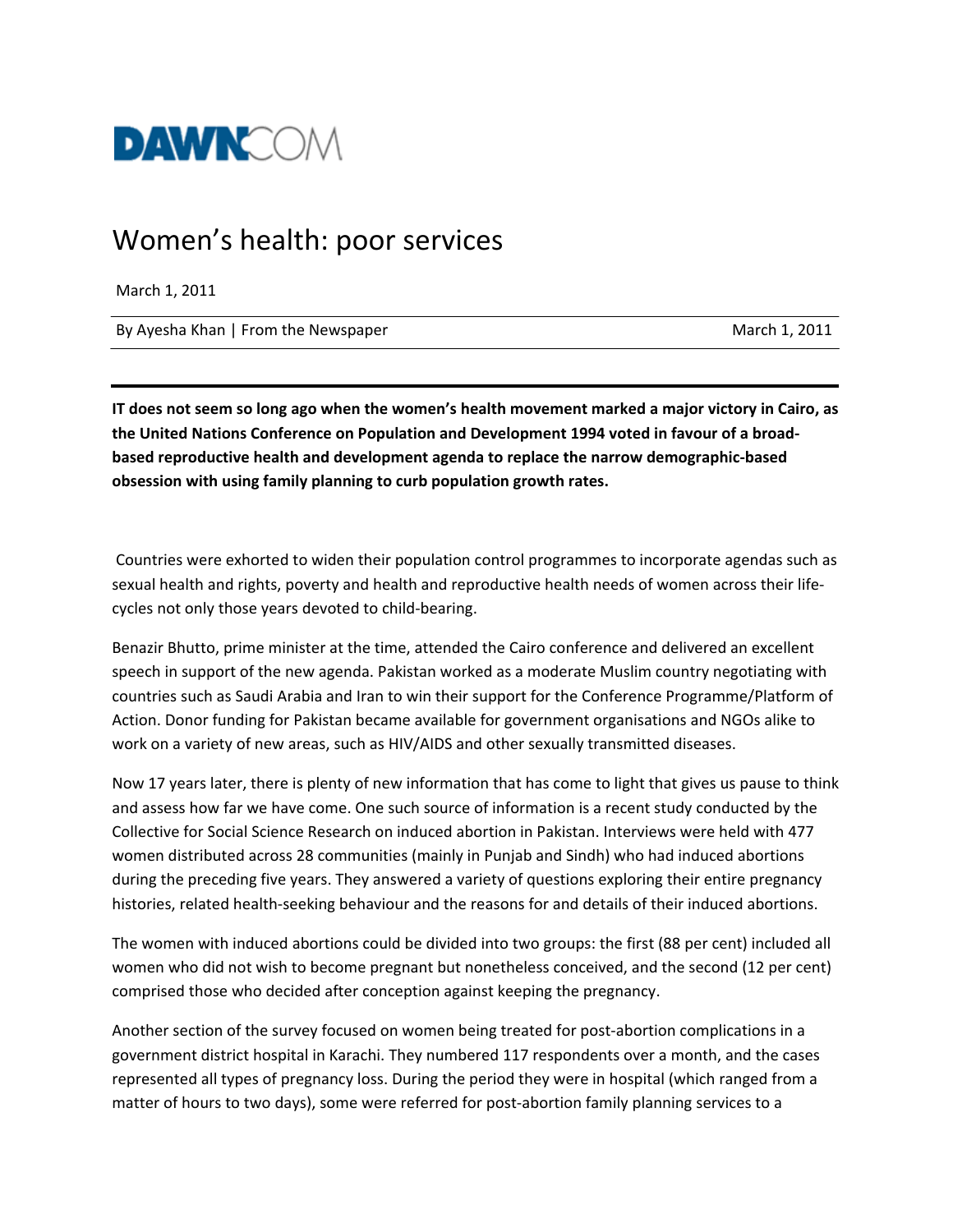

## Women's health: poor services

March 1, 2011

By Ayesha Khan | From the Newspaper March 1, 2011

IT does not seem so long ago when the women's health movement marked a major victory in Cairo, as **the United Nations Conference on Population and Development 1994 voted in favour of a broad‐ based reproductive health and development agenda to replace the narrow demographic‐based obsession with using family planning to curb population growth rates.**

Countries were exhorted to widen their population control programmes to incorporate agendas such as sexual health and rights, poverty and health and reproductive health needs of women across their lifecycles not only those years devoted to child‐bearing.

Benazir Bhutto, prime minister at the time, attended the Cairo conference and delivered an excellent speech in support of the new agenda. Pakistan worked as a moderate Muslim country negotiating with countries such as Saudi Arabia and Iran to win their support for the Conference Programme/Platform of Action. Donor funding for Pakistan became available for government organisations and NGOs alike to work on a variety of new areas, such as HIV/AIDS and other sexually transmitted diseases.

Now 17 years later, there is plenty of new information that has come to light that gives us pause to think and assess how far we have come. One such source of information is a recent study conducted by the Collective for Social Science Research on induced abortion in Pakistan. Interviews were held with 477 women distributed across 28 communities (mainly in Punjab and Sindh) who had induced abortions during the preceding five years. They answered a variety of questions exploring their entire pregnancy histories, related health‐seeking behaviour and the reasons for and details of their induced abortions.

The women with induced abortions could be divided into two groups: the first (88 per cent) included all women who did not wish to become pregnant but nonetheless conceived, and the second (12 per cent) comprised those who decided after conception against keeping the pregnancy.

Another section of the survey focused on women being treated for post‐abortion complications in a government district hospital in Karachi. They numbered 117 respondents over a month, and the cases represented all types of pregnancy loss. During the period they were in hospital (which ranged from a matter of hours to two days), some were referred for post-abortion family planning services to a